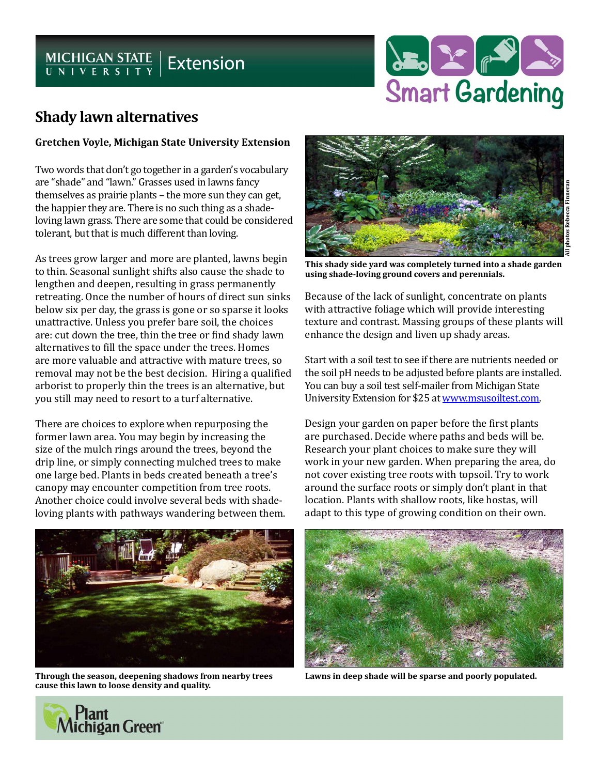# MICHIGAN STATE | Extension



## **Shady lawn alternatives**

#### **Gretchen Voyle, Michigan State University Extension**

Two words that don't go together in a garden's vocabulary are "shade" and "lawn." Grasses used in lawns fancy themselves as prairie plants – the more sun they can get, the happier they are. There is no such thing as a shadeloving lawn grass. There are some that could be considered tolerant, but that is much different than loving.

As trees grow larger and more are planted, lawns begin to thin. Seasonal sunlight shifts also cause the shade to lengthen and deepen, resulting in grass permanently retreating. Once the number of hours of direct sun sinks below six per day, the grass is gone or so sparse it looks unattractive. Unless you prefer bare soil, the choices are: cut down the tree, thin the tree or find shady lawn alternatives to fill the space under the trees. Homes are more valuable and attractive with mature trees, so removal may not be the best decision. Hiring a qualified arborist to properly thin the trees is an alternative, but you still may need to resort to a turf alternative.

There are choices to explore when repurposing the former lawn area. You may begin by increasing the size of the mulch rings around the trees, beyond the drip line, or simply connecting mulched trees to make one large bed. Plants in beds created beneath a tree's canopy may encounter competition from tree roots. Another choice could involve several beds with shadeloving plants with pathways wandering between them.



**This shady side yard was completely turned into a shade garden using shade-loving ground covers and perennials.**

Because of the lack of sunlight, concentrate on plants with attractive foliage which will provide interesting texture and contrast. Massing groups of these plants will enhance the design and liven up shady areas.

Start with a soil test to see if there are nutrients needed or the soil pH needs to be adjusted before plants are installed. You can buy a soil test self-mailer from Michigan State University Extension for \$25 at [www.msusoiltest.com.](http://www.msusoiltest.com)

Design your garden on paper before the first plants are purchased. Decide where paths and beds will be. Research your plant choices to make sure they will work in your new garden. When preparing the area, do not cover existing tree roots with topsoil. Try to work around the surface roots or simply don't plant in that location. Plants with shallow roots, like hostas, will adapt to this type of growing condition on their own.



**Through the season, deepening shadows from nearby trees cause this lawn to loose density and quality.**



**Lawns in deep shade will be sparse and poorly populated.**